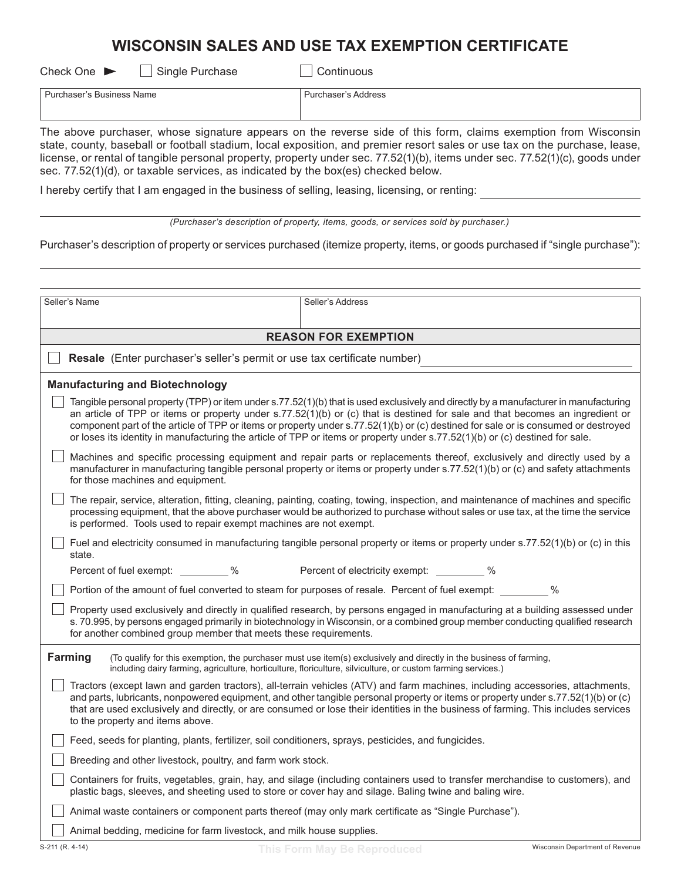# **WISCONSIN SALES AND USE TAX EXEMPTION CERTIFICATE**

| Check One $\blacktriangleright$ | Single Purchase |
|---------------------------------|-----------------|
|                                 |                 |

 $\Box$  Continuous

| ⊴ame             | rooc |
|------------------|------|
| 101 <sub>m</sub> | -55  |
|                  |      |

The above purchaser, whose signature appears on the reverse side of this form, claims exemption from Wisconsin state, county, baseball or football stadium, local exposition, and premier resort sales or use tax on the purchase, lease, license, or rental of tangible personal property, property under sec. 77.52(1)(b), items under sec. 77.52(1)(c), goods under sec. 77.52(1)(d), or taxable services, as indicated by the box(es) checked below.

I hereby certify that I am engaged in the business of selling, leasing, licensing, or renting:

*(Purchaser's description of property, items, goods, or services sold by purchaser.)*

Purchaser's description of property or services purchased (itemize property, items, or goods purchased if "single purchase"):

| Seller's Name                                                                                                                                                                                                                                                                                                                         | Seller's Address                                                                                                                                                                                                                                                                                                                                                                                                                                                                                                                             |  |  |  |
|---------------------------------------------------------------------------------------------------------------------------------------------------------------------------------------------------------------------------------------------------------------------------------------------------------------------------------------|----------------------------------------------------------------------------------------------------------------------------------------------------------------------------------------------------------------------------------------------------------------------------------------------------------------------------------------------------------------------------------------------------------------------------------------------------------------------------------------------------------------------------------------------|--|--|--|
|                                                                                                                                                                                                                                                                                                                                       |                                                                                                                                                                                                                                                                                                                                                                                                                                                                                                                                              |  |  |  |
|                                                                                                                                                                                                                                                                                                                                       | <b>REASON FOR EXEMPTION</b>                                                                                                                                                                                                                                                                                                                                                                                                                                                                                                                  |  |  |  |
|                                                                                                                                                                                                                                                                                                                                       | Resale (Enter purchaser's seller's permit or use tax certificate number)                                                                                                                                                                                                                                                                                                                                                                                                                                                                     |  |  |  |
| <b>Manufacturing and Biotechnology</b>                                                                                                                                                                                                                                                                                                |                                                                                                                                                                                                                                                                                                                                                                                                                                                                                                                                              |  |  |  |
|                                                                                                                                                                                                                                                                                                                                       | Tangible personal property (TPP) or item under s.77.52(1)(b) that is used exclusively and directly by a manufacturer in manufacturing<br>an article of TPP or items or property under s.77.52(1)(b) or (c) that is destined for sale and that becomes an ingredient or<br>component part of the article of TPP or items or property under s.77.52(1)(b) or (c) destined for sale or is consumed or destroyed<br>or loses its identity in manufacturing the article of TPP or items or property under s.77.52(1)(b) or (c) destined for sale. |  |  |  |
| for those machines and equipment.                                                                                                                                                                                                                                                                                                     | Machines and specific processing equipment and repair parts or replacements thereof, exclusively and directly used by a<br>manufacturer in manufacturing tangible personal property or items or property under s.77.52(1)(b) or (c) and safety attachments                                                                                                                                                                                                                                                                                   |  |  |  |
| is performed. Tools used to repair exempt machines are not exempt.                                                                                                                                                                                                                                                                    | The repair, service, alteration, fitting, cleaning, painting, coating, towing, inspection, and maintenance of machines and specific<br>processing equipment, that the above purchaser would be authorized to purchase without sales or use tax, at the time the service                                                                                                                                                                                                                                                                      |  |  |  |
| state.                                                                                                                                                                                                                                                                                                                                | Fuel and electricity consumed in manufacturing tangible personal property or items or property under s.77.52(1)(b) or (c) in this                                                                                                                                                                                                                                                                                                                                                                                                            |  |  |  |
| Percent of fuel exempt: _________ %                                                                                                                                                                                                                                                                                                   | Percent of electricity exempt: $\%$                                                                                                                                                                                                                                                                                                                                                                                                                                                                                                          |  |  |  |
|                                                                                                                                                                                                                                                                                                                                       | Portion of the amount of fuel converted to steam for purposes of resale. Percent of fuel exempt:<br>$\%$                                                                                                                                                                                                                                                                                                                                                                                                                                     |  |  |  |
| Property used exclusively and directly in qualified research, by persons engaged in manufacturing at a building assessed under<br>s. 70.995, by persons engaged primarily in biotechnology in Wisconsin, or a combined group member conducting qualified research<br>for another combined group member that meets these requirements. |                                                                                                                                                                                                                                                                                                                                                                                                                                                                                                                                              |  |  |  |
| Farming                                                                                                                                                                                                                                                                                                                               | (To qualify for this exemption, the purchaser must use item(s) exclusively and directly in the business of farming,<br>including dairy farming, agriculture, horticulture, floriculture, silviculture, or custom farming services.)                                                                                                                                                                                                                                                                                                          |  |  |  |
| to the property and items above.                                                                                                                                                                                                                                                                                                      | Tractors (except lawn and garden tractors), all-terrain vehicles (ATV) and farm machines, including accessories, attachments,<br>and parts, lubricants, nonpowered equipment, and other tangible personal property or items or property under s.77.52(1)(b) or (c)<br>that are used exclusively and directly, or are consumed or lose their identities in the business of farming. This includes services                                                                                                                                    |  |  |  |
| Feed, seeds for planting, plants, fertilizer, soil conditioners, sprays, pesticides, and fungicides.                                                                                                                                                                                                                                  |                                                                                                                                                                                                                                                                                                                                                                                                                                                                                                                                              |  |  |  |
| Breeding and other livestock, poultry, and farm work stock.                                                                                                                                                                                                                                                                           |                                                                                                                                                                                                                                                                                                                                                                                                                                                                                                                                              |  |  |  |
| plastic bags, sleeves, and sheeting used to store or cover hay and silage. Baling twine and baling wire.                                                                                                                                                                                                                              | Containers for fruits, vegetables, grain, hay, and silage (including containers used to transfer merchandise to customers), and                                                                                                                                                                                                                                                                                                                                                                                                              |  |  |  |
| Animal waste containers or component parts thereof (may only mark certificate as "Single Purchase").                                                                                                                                                                                                                                  |                                                                                                                                                                                                                                                                                                                                                                                                                                                                                                                                              |  |  |  |
| Animal bedding, medicine for farm livestock, and milk house supplies.                                                                                                                                                                                                                                                                 |                                                                                                                                                                                                                                                                                                                                                                                                                                                                                                                                              |  |  |  |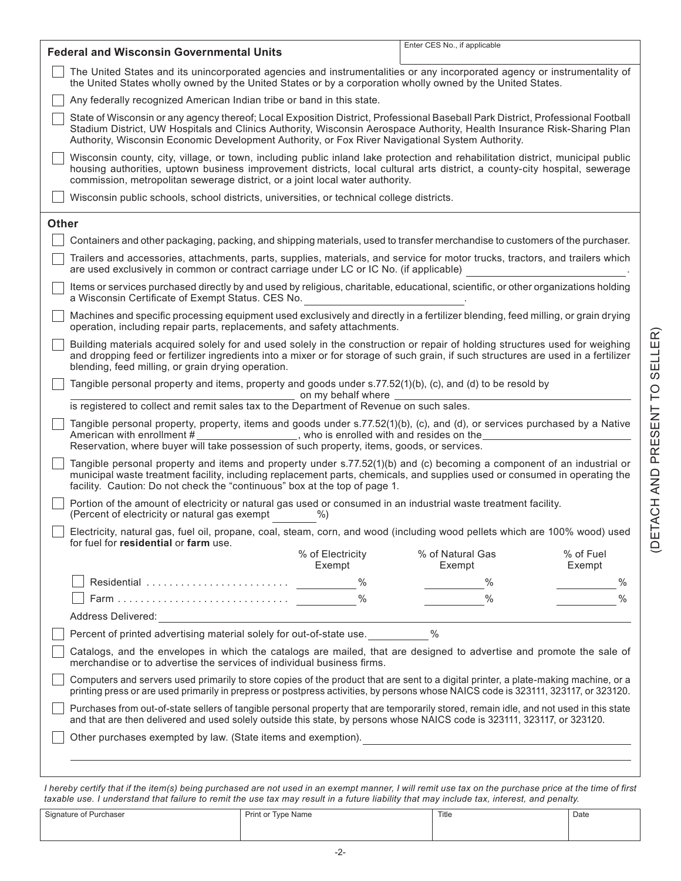| <b>Federal and Wisconsin Governmental Units</b>                                                                                                                                                                                                                                                                                                | Enter CES No., if applicable                                                                                                                                                                                                                                                                                                                                   |  |  |  |  |  |  |
|------------------------------------------------------------------------------------------------------------------------------------------------------------------------------------------------------------------------------------------------------------------------------------------------------------------------------------------------|----------------------------------------------------------------------------------------------------------------------------------------------------------------------------------------------------------------------------------------------------------------------------------------------------------------------------------------------------------------|--|--|--|--|--|--|
| The United States and its unincorporated agencies and instrumentalities or any incorporated agency or instrumentality of                                                                                                                                                                                                                       |                                                                                                                                                                                                                                                                                                                                                                |  |  |  |  |  |  |
| the United States wholly owned by the United States or by a corporation wholly owned by the United States.                                                                                                                                                                                                                                     |                                                                                                                                                                                                                                                                                                                                                                |  |  |  |  |  |  |
| Any federally recognized American Indian tribe or band in this state.                                                                                                                                                                                                                                                                          |                                                                                                                                                                                                                                                                                                                                                                |  |  |  |  |  |  |
|                                                                                                                                                                                                                                                                                                                                                | State of Wisconsin or any agency thereof; Local Exposition District, Professional Baseball Park District, Professional Football<br>Stadium District, UW Hospitals and Clinics Authority, Wisconsin Aerospace Authority, Health Insurance Risk-Sharing Plan<br>Authority, Wisconsin Economic Development Authority, or Fox River Navigational System Authority. |  |  |  |  |  |  |
| Wisconsin county, city, village, or town, including public inland lake protection and rehabilitation district, municipal public<br>housing authorities, uptown business improvement districts, local cultural arts district, a county-city hospital, sewerage<br>commission, metropolitan sewerage district, or a joint local water authority. |                                                                                                                                                                                                                                                                                                                                                                |  |  |  |  |  |  |
|                                                                                                                                                                                                                                                                                                                                                | Wisconsin public schools, school districts, universities, or technical college districts.                                                                                                                                                                                                                                                                      |  |  |  |  |  |  |
| <b>Other</b>                                                                                                                                                                                                                                                                                                                                   |                                                                                                                                                                                                                                                                                                                                                                |  |  |  |  |  |  |
| Containers and other packaging, packing, and shipping materials, used to transfer merchandise to customers of the purchaser.                                                                                                                                                                                                                   |                                                                                                                                                                                                                                                                                                                                                                |  |  |  |  |  |  |
|                                                                                                                                                                                                                                                                                                                                                | Trailers and accessories, attachments, parts, supplies, materials, and service for motor trucks, tractors, and trailers which<br>are used exclusively in common or contract carriage under LC or IC No. (if applicable)                                                                                                                                        |  |  |  |  |  |  |
| Items or services purchased directly by and used by religious, charitable, educational, scientific, or other organizations holding<br>a Wisconsin Certificate of Exempt Status. CES No.                                                                                                                                                        |                                                                                                                                                                                                                                                                                                                                                                |  |  |  |  |  |  |
|                                                                                                                                                                                                                                                                                                                                                | Machines and specific processing equipment used exclusively and directly in a fertilizer blending, feed milling, or grain drying<br>operation, including repair parts, replacements, and safety attachments.                                                                                                                                                   |  |  |  |  |  |  |
| Building materials acquired solely for and used solely in the construction or repair of holding structures used for weighing<br>and dropping feed or fertilizer ingredients into a mixer or for storage of such grain, if such structures are used in a fertilizer<br>blending, feed milling, or grain drying operation.                       |                                                                                                                                                                                                                                                                                                                                                                |  |  |  |  |  |  |
| Tangible personal property and items, property and goods under s.77.52(1)(b), (c), and (d) to be resold by                                                                                                                                                                                                                                     |                                                                                                                                                                                                                                                                                                                                                                |  |  |  |  |  |  |
| on my behalf where<br>is registered to collect and remit sales tax to the Department of Revenue on such sales.                                                                                                                                                                                                                                 |                                                                                                                                                                                                                                                                                                                                                                |  |  |  |  |  |  |
| American with enrollment #                                                                                                                                                                                                                                                                                                                     | Tangible personal property, property, items and goods under s.77.52(1)(b), (c), and (d), or services purchased by a Native<br>who is enrolled with and resides on the<br>Reservation, where buyer will take possession of such property, items, goods, or services.                                                                                            |  |  |  |  |  |  |
| Tangible personal property and items and property under s.77.52(1)(b) and (c) becoming a component of an industrial or<br>municipal waste treatment facility, including replacement parts, chemicals, and supplies used or consumed in operating the<br>facility. Caution: Do not check the "continuous" box at the top of page 1.             |                                                                                                                                                                                                                                                                                                                                                                |  |  |  |  |  |  |
| (Percent of electricity or natural gas exempt<br>$%$ )                                                                                                                                                                                                                                                                                         | Portion of the amount of electricity or natural gas used or consumed in an industrial waste treatment facility.                                                                                                                                                                                                                                                |  |  |  |  |  |  |
| Electricity, natural gas, fuel oil, propane, coal, steam, corn, and wood (including wood pellets which are 100% wood) used<br>for fuel for residential or farm use.                                                                                                                                                                            |                                                                                                                                                                                                                                                                                                                                                                |  |  |  |  |  |  |
| % of Electricity<br>Exempt                                                                                                                                                                                                                                                                                                                     | % of Fuel<br>% of Natural Gas<br>Exempt<br>Exempt                                                                                                                                                                                                                                                                                                              |  |  |  |  |  |  |
| $\%$                                                                                                                                                                                                                                                                                                                                           | $\frac{0}{0}$<br>$\%$                                                                                                                                                                                                                                                                                                                                          |  |  |  |  |  |  |
| $\%$                                                                                                                                                                                                                                                                                                                                           | $\frac{0}{0}$<br>$\%$                                                                                                                                                                                                                                                                                                                                          |  |  |  |  |  |  |
|                                                                                                                                                                                                                                                                                                                                                |                                                                                                                                                                                                                                                                                                                                                                |  |  |  |  |  |  |
| Percent of printed advertising material solely for out-of-state use.                                                                                                                                                                                                                                                                           | $\frac{0}{0}$                                                                                                                                                                                                                                                                                                                                                  |  |  |  |  |  |  |
| Catalogs, and the envelopes in which the catalogs are mailed, that are designed to advertise and promote the sale of<br>merchandise or to advertise the services of individual business firms.                                                                                                                                                 |                                                                                                                                                                                                                                                                                                                                                                |  |  |  |  |  |  |
| Computers and servers used primarily to store copies of the product that are sent to a digital printer, a plate-making machine, or a<br>printing press or are used primarily in prepress or postpress activities, by persons whose NAICS code is 323111, 323117, or 323120.                                                                    |                                                                                                                                                                                                                                                                                                                                                                |  |  |  |  |  |  |
| Purchases from out-of-state sellers of tangible personal property that are temporarily stored, remain idle, and not used in this state<br>and that are then delivered and used solely outside this state, by persons whose NAICS code is 323111, 323117, or 323120.                                                                            |                                                                                                                                                                                                                                                                                                                                                                |  |  |  |  |  |  |
| Other purchases exempted by law. (State items and exemption).                                                                                                                                                                                                                                                                                  | <u> 1980 - Johann Barbara, martxa alemaniar amerikan a</u>                                                                                                                                                                                                                                                                                                     |  |  |  |  |  |  |
|                                                                                                                                                                                                                                                                                                                                                |                                                                                                                                                                                                                                                                                                                                                                |  |  |  |  |  |  |
|                                                                                                                                                                                                                                                                                                                                                |                                                                                                                                                                                                                                                                                                                                                                |  |  |  |  |  |  |

*I hereby certify that if the item(s) being purchased are not used in an exempt manner, I will remit use tax on the purchase price at the time of first taxable use. I understand that failure to remit the use tax may result in a future liability that may include tax, interest, and penalty.*

| Signature of Purchaser | Print or Type Name | Title | Date |
|------------------------|--------------------|-------|------|
|                        |                    |       |      |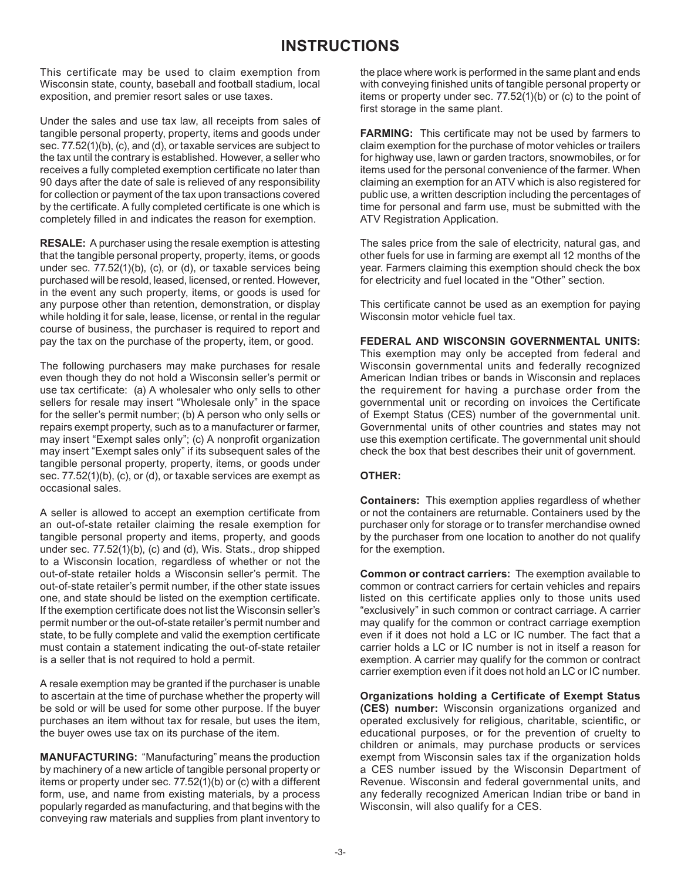## **INSTRUCTIONS**

This certificate may be used to claim exemption from Wisconsin state, county, baseball and football stadium, local exposition, and premier resort sales or use taxes.

Under the sales and use tax law, all receipts from sales of tangible personal property, property, items and goods under sec. 77.52(1)(b), (c), and (d), or taxable services are subject to the tax until the contrary is established. However, a seller who receives a fully completed exemption certificate no later than 90 days after the date of sale is relieved of any responsibility for collection or payment of the tax upon transactions covered by the certificate. A fully completed certificate is one which is completely filled in and indicates the reason for exemption.

**RESALE:** A purchaser using the resale exemption is attesting that the tangible personal property, property, items, or goods under sec. 77.52(1)(b), (c), or (d), or taxable services being purchased will be resold, leased, licensed, or rented. However, in the event any such property, items, or goods is used for any purpose other than retention, demonstration, or display while holding it for sale, lease, license, or rental in the regular course of business, the purchaser is required to report and pay the tax on the purchase of the property, item, or good.

The following purchasers may make purchases for resale even though they do not hold a Wisconsin seller's permit or use tax certificate: (a) A wholesaler who only sells to other sellers for resale may insert "Wholesale only" in the space for the seller's permit number; (b) A person who only sells or repairs exempt property, such as to a manufacturer or farmer, may insert "Exempt sales only"; (c) A nonprofit organization may insert "Exempt sales only" if its subsequent sales of the tangible personal property, property, items, or goods under sec. 77.52(1)(b), (c), or (d), or taxable services are exempt as occasional sales.

A seller is allowed to accept an exemption certificate from an out-of-state retailer claiming the resale exemption for tangible personal property and items, property, and goods under sec. 77.52(1)(b), (c) and (d), Wis. Stats., drop shipped to a Wisconsin location, regardless of whether or not the out-of-state retailer holds a Wisconsin seller's permit. The out-of-state retailer's permit number, if the other state issues one, and state should be listed on the exemption certificate. If the exemption certificate does not list the Wisconsin seller's permit number or the out-of-state retailer's permit number and state, to be fully complete and valid the exemption certificate must contain a statement indicating the out-of-state retailer is a seller that is not required to hold a permit.

A resale exemption may be granted if the purchaser is unable to ascertain at the time of purchase whether the property will be sold or will be used for some other purpose. If the buyer purchases an item without tax for resale, but uses the item, the buyer owes use tax on its purchase of the item.

**MANUFACTURING:** "Manufacturing" means the production by machinery of a new article of tangible personal property or items or property under sec. 77.52(1)(b) or (c) with a different form, use, and name from existing materials, by a process popularly regarded as manufacturing, and that begins with the conveying raw materials and supplies from plant inventory to

the place where work is performed in the same plant and ends with conveying finished units of tangible personal property or items or property under sec. 77.52(1)(b) or (c) to the point of first storage in the same plant.

**FARMING:** This certificate may not be used by farmers to claim exemption for the purchase of motor vehicles or trailers for highway use, lawn or garden tractors, snowmobiles, or for items used for the personal convenience of the farmer. When claiming an exemption for an ATV which is also registered for public use, a written description including the percentages of time for personal and farm use, must be submitted with the ATV Registration Application.

The sales price from the sale of electricity, natural gas, and other fuels for use in farming are exempt all 12 months of the year. Farmers claiming this exemption should check the box for electricity and fuel located in the "Other" section.

This certificate cannot be used as an exemption for paying Wisconsin motor vehicle fuel tax.

**FEDERAL AND WISCONSIN GOVERNMENTAL UNITS:**

This exemption may only be accepted from federal and Wisconsin governmental units and federally recognized American Indian tribes or bands in Wisconsin and replaces the requirement for having a purchase order from the governmental unit or recording on invoices the Certificate of Exempt Status (CES) number of the governmental unit. Governmental units of other countries and states may not use this exemption certificate. The governmental unit should check the box that best describes their unit of government.

### **OTHER:**

**Containers:** This exemption applies regardless of whether or not the containers are returnable. Containers used by the purchaser only for storage or to transfer merchandise owned by the purchaser from one location to another do not qualify for the exemption.

**Common or contract carriers:** The exemption available to common or contract carriers for certain vehicles and repairs listed on this certificate applies only to those units used "exclusively" in such common or contract carriage. A carrier may qualify for the common or contract carriage exemption even if it does not hold a LC or IC number. The fact that a carrier holds a LC or IC number is not in itself a reason for exemption. A carrier may qualify for the common or contract carrier exemption even if it does not hold an LC or IC number.

**Organizations holding a Certificate of Exempt Status (CES) number:** Wisconsin organizations organized and operated exclusively for religious, charitable, scientific, or educational purposes, or for the prevention of cruelty to children or animals, may purchase products or services exempt from Wisconsin sales tax if the organization holds a CES number issued by the Wisconsin Department of Revenue. Wisconsin and federal governmental units, and any federally recognized American Indian tribe or band in Wisconsin, will also qualify for a CES.